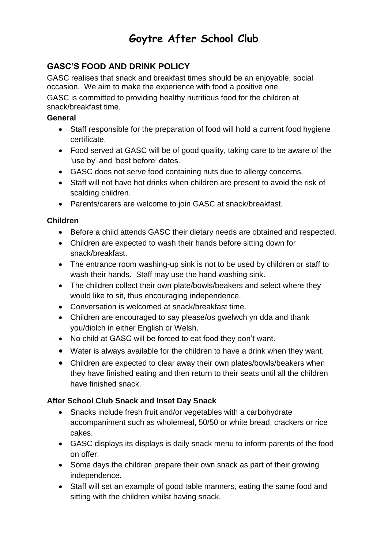# **Goytre After School Club**

### **GASC'S FOOD AND DRINK POLICY**

GASC realises that snack and breakfast times should be an enjoyable, social occasion. We aim to make the experience with food a positive one.

GASC is committed to providing healthy nutritious food for the children at snack/breakfast time.

#### **General**

- Staff responsible for the preparation of food will hold a current food hygiene certificate.
- Food served at GASC will be of good quality, taking care to be aware of the 'use by' and 'best before' dates.
- GASC does not serve food containing nuts due to allergy concerns.
- Staff will not have hot drinks when children are present to avoid the risk of scalding children.
- Parents/carers are welcome to join GASC at snack/breakfast.

#### **Children**

- Before a child attends GASC their dietary needs are obtained and respected.
- Children are expected to wash their hands before sitting down for snack/breakfast.
- The entrance room washing-up sink is not to be used by children or staff to wash their hands. Staff may use the hand washing sink.
- The children collect their own plate/bowls/beakers and select where they would like to sit, thus encouraging independence.
- Conversation is welcomed at snack/breakfast time.
- Children are encouraged to say please/os gwelwch yn dda and thank you/diolch in either English or Welsh.
- No child at GASC will be forced to eat food they don't want.
- Water is always available for the children to have a drink when they want.
- Children are expected to clear away their own plates/bowls/beakers when they have finished eating and then return to their seats until all the children have finished snack.

### **After School Club Snack and Inset Day Snack**

- Snacks include fresh fruit and/or vegetables with a carbohydrate accompaniment such as wholemeal, 50/50 or white bread, crackers or rice cakes.
- GASC displays its displays is daily snack menu to inform parents of the food on offer.
- Some days the children prepare their own snack as part of their growing independence.
- Staff will set an example of good table manners, eating the same food and sitting with the children whilst having snack.